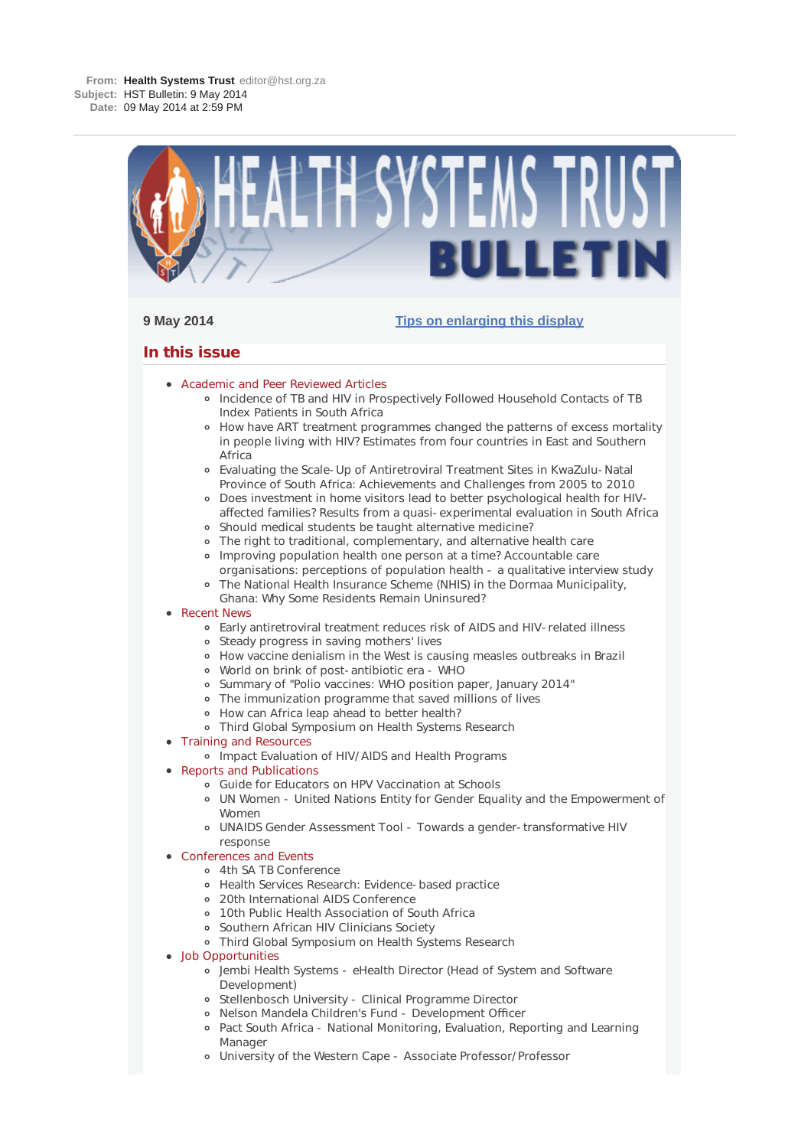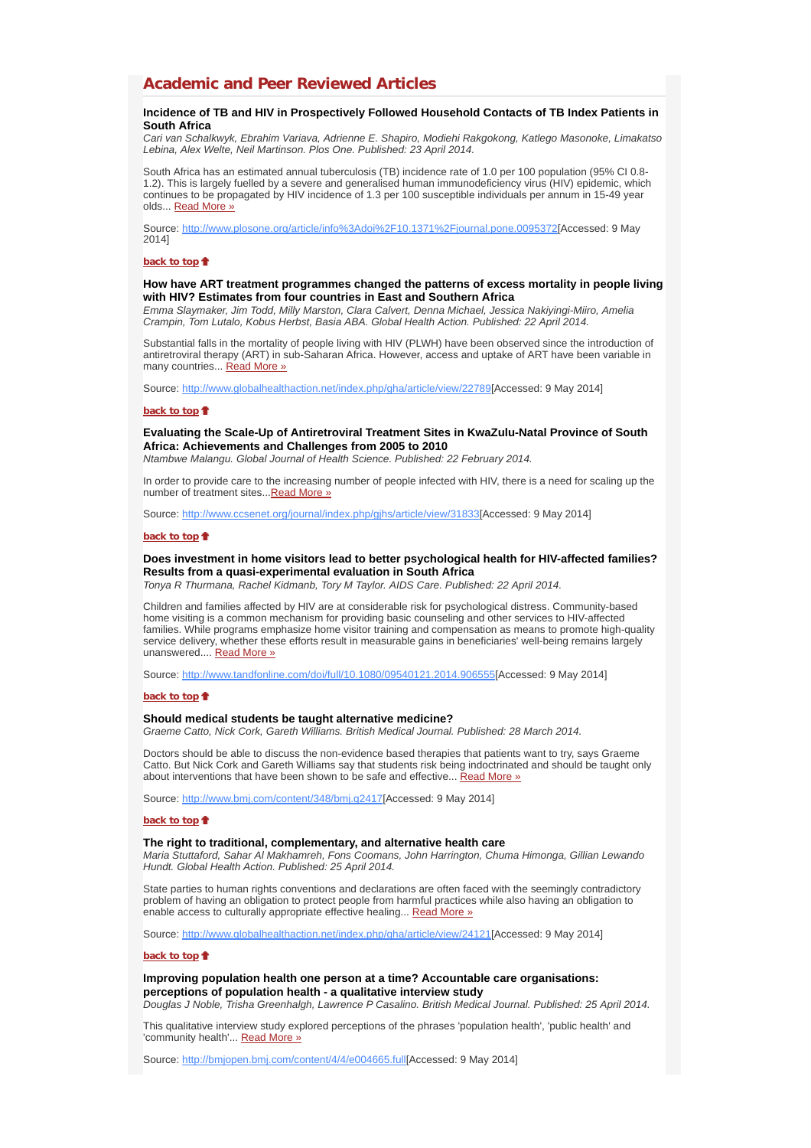# **Academic and Peer Reviewed Articles**

## **Incidence of TB and HIV in Prospectively Followed Household Contacts of TB Index Patients in South Africa**

*Cari van Schalkwyk, Ebrahim Variava, Adrienne E. Shapiro, Modiehi Rakgokong, Katlego Masonoke, Limakatso Lebina, Alex Welte, Neil Martinson. Plos One. Published: 23 April 2014.*

South Africa has an estimated annual tuberculosis (TB) incidence rate of 1.0 per 100 population (95% CI 0.8- 1.2). This is largely fuelled by a severe and generalised human immunodeficiency virus (HIV) epidemic, which continues to be propagated by HIV incidence of 1.3 per 100 susceptible individuals per annum in 15-49 year olds... Read More »

Source: http://www.plosone.org/article/info%3Adoi%2F10.1371%2Fjournal.pone.0095372[Accessed: 9 May 2014]

#### **back to top**

## **How have ART treatment programmes changed the patterns of excess mortality in people living with HIV? Estimates from four countries in East and Southern Africa**

*Emma Slaymaker, Jim Todd, Milly Marston, Clara Calvert, Denna Michael, Jessica Nakiyingi-Miiro, Amelia Crampin, Tom Lutalo, Kobus Herbst, Basia ABA. Global Health Action. Published: 22 April 2014.*

Substantial falls in the mortality of people living with HIV (PLWH) have been observed since the introduction of antiretroviral therapy (ART) in sub-Saharan Africa. However, access and uptake of ART have been variable in many countries... Read More »

Source: http://www.globalhealthaction.net/index.php/gha/article/view/22789[Accessed: 9 May 2014]

## **back to top**

# **Evaluating the Scale-Up of Antiretroviral Treatment Sites in KwaZulu-Natal Province of South Africa: Achievements and Challenges from 2005 to 2010**

*Ntambwe Malangu. Global Journal of Health Science. Published: 22 February 2014.*

In order to provide care to the increasing number of people infected with HIV, there is a need for scaling up the number of treatment sites... Read More »

Source: http://www.ccsenet.org/journal/index.php/gjhs/article/view/31833[Accessed: 9 May 2014]

### **back to top**

# **Does investment in home visitors lead to better psychological health for HIV-affected families? Results from a quasi-experimental evaluation in South Africa**

*Tonya R Thurmana, Rachel Kidmanb, Tory M Taylor. AIDS Care. Published: 22 April 2014.*

Children and families affected by HIV are at considerable risk for psychological distress. Community-based home visiting is a common mechanism for providing basic counseling and other services to HIV-affected families. While programs emphasize home visitor training and compensation as means to promote high-quality service delivery, whether these efforts result in measurable gains in beneficiaries' well-being remains largely unanswered.... Read More »

Source: http://www.tandfonline.com/doi/full/10.1080/09540121.2014.906555[Accessed: 9 May 2014]

### **back to top**

### **Should medical students be taught alternative medicine?**

*Graeme Catto, Nick Cork, Gareth Williams. British Medical Journal. Published: 28 March 2014.*

Doctors should be able to discuss the non-evidence based therapies that patients want to try, says Graeme Catto. But Nick Cork and Gareth Williams say that students risk being indoctrinated and should be taught only about interventions that have been shown to be safe and effective... Read More »

Source: http://www.bmj.com/content/348/bmj.g2417[Accessed: 9 May 2014]

## **back to top**

### **The right to traditional, complementary, and alternative health care**

*Maria Stuttaford, Sahar Al Makhamreh, Fons Coomans, John Harrington, Chuma Himonga, Gillian Lewando Hundt. Global Health Action. Published: 25 April 2014.*

State parties to human rights conventions and declarations are often faced with the seemingly contradictory problem of having an obligation to protect people from harmful practices while also having an obligation to enable access to culturally appropriate effective healing... Read More »

Source: http://www.globalhealthaction.net/index.php/gha/article/view/24121[Accessed: 9 May 2014]

### **back to top**

**Improving population health one person at a time? Accountable care organisations: perceptions of population health - a qualitative interview study**

*Douglas J Noble, Trisha Greenhalgh, Lawrence P Casalino. British Medical Journal. Published: 25 April 2014.*

This qualitative interview study explored perceptions of the phrases 'population health', 'public health' and 'community health'... Read More »

Source: http://bmjopen.bmj.com/content/4/4/e004665.full[Accessed: 9 May 2014]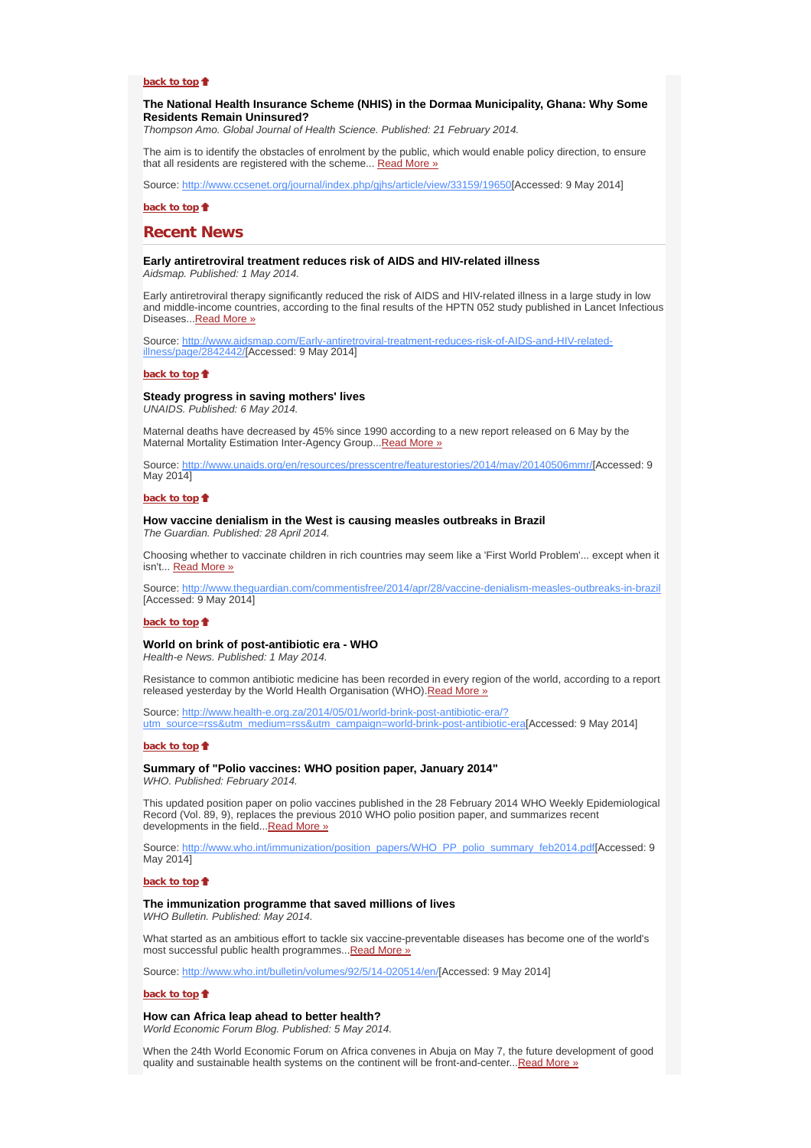# **back to top**

## **The National Health Insurance Scheme (NHIS) in the Dormaa Municipality, Ghana: Why Some Residents Remain Uninsured?**

*Thompson Amo. Global Journal of Health Science. Published: 21 February 2014.*

The aim is to identify the obstacles of enrolment by the public, which would enable policy direction, to ensure that all residents are registered with the scheme... Read More »

Source: http://www.ccsenet.org/journal/index.php/gjhs/article/view/33159/19650[Accessed: 9 May 2014]

**back to top**

# **Recent News**

# **Early antiretroviral treatment reduces risk of AIDS and HIV-related illness**

*Aidsmap. Published: 1 May 2014.*

Early antiretroviral therapy significantly reduced the risk of AIDS and HIV-related illness in a large study in low and middle-income countries, according to the final results of the HPTN 052 study published in Lancet Infectious Diseases...Read More »

Source: http://www.aidsmap.com/Early-antiretroviral-treatment-reduces-risk-of-AIDS-and-HIV-relatedillness/page/2842442/[Accessed: 9 May 2014]

#### **back to top**

### **Steady progress in saving mothers' lives**

*UNAIDS. Published: 6 May 2014.*

Maternal deaths have decreased by 45% since 1990 according to a new report released on 6 May by the Maternal Mortality Estimation Inter-Agency Group... Read More »

Source: http://www.unaids.org/en/resources/presscentre/featurestories/2014/may/20140506mmr/[Accessed: 9 May 2014]

### **back to top**

#### **How vaccine denialism in the West is causing measles outbreaks in Brazil** *The Guardian. Published: 28 April 2014.*

Choosing whether to vaccinate children in rich countries may seem like a 'First World Problem'... except when it isn't... Read More »

Source: http://www.theguardian.com/commentisfree/2014/apr/28/vaccine-denialism-measles-outbreaks-in-brazil [Accessed: 9 May 2014]

### **back to top**

# **World on brink of post-antibiotic era - WHO**

*Health-e News. Published: 1 May 2014.*

Resistance to common antibiotic medicine has been recorded in every region of the world, according to a report released yesterday by the World Health Organisation (WHO). Read More »

Source: http://www.health-e.org.za/2014/05/01/world-brink-post-antibiotic-era/? utm\_source=rss&utm\_medium=rss&utm\_campaign=world-brink-post-antibiotic-era[Accessed: 9 May 2014]

### **back to top**

### **Summary of "Polio vaccines: WHO position paper, January 2014"** *WHO. Published: February 2014.*

This updated position paper on polio vaccines published in the 28 February 2014 WHO Weekly Epidemiological Record (Vol. 89, 9), replaces the previous 2010 WHO polio position paper, and summarizes recent developments in the field... Read More »

Source: http://www.who.int/immunization/position\_papers/WHO\_PP\_polio\_summary\_feb2014.pdf[Accessed: 9 May 2014]

#### **back to top**

### **The immunization programme that saved millions of lives**

*WHO Bulletin. Published: May 2014.*

What started as an ambitious effort to tackle six vaccine-preventable diseases has become one of the world's most successful public health programmes...Read More »

Source: http://www.who.int/bulletin/volumes/92/5/14-020514/en/[Accessed: 9 May 2014]

#### **back to top**

#### **How can Africa leap ahead to better health?**

*World Economic Forum Blog. Published: 5 May 2014.*

When the 24th World Economic Forum on Africa convenes in Abuja on May 7, the future development of good quality and sustainable health systems on the continent will be front-and-center...Read More »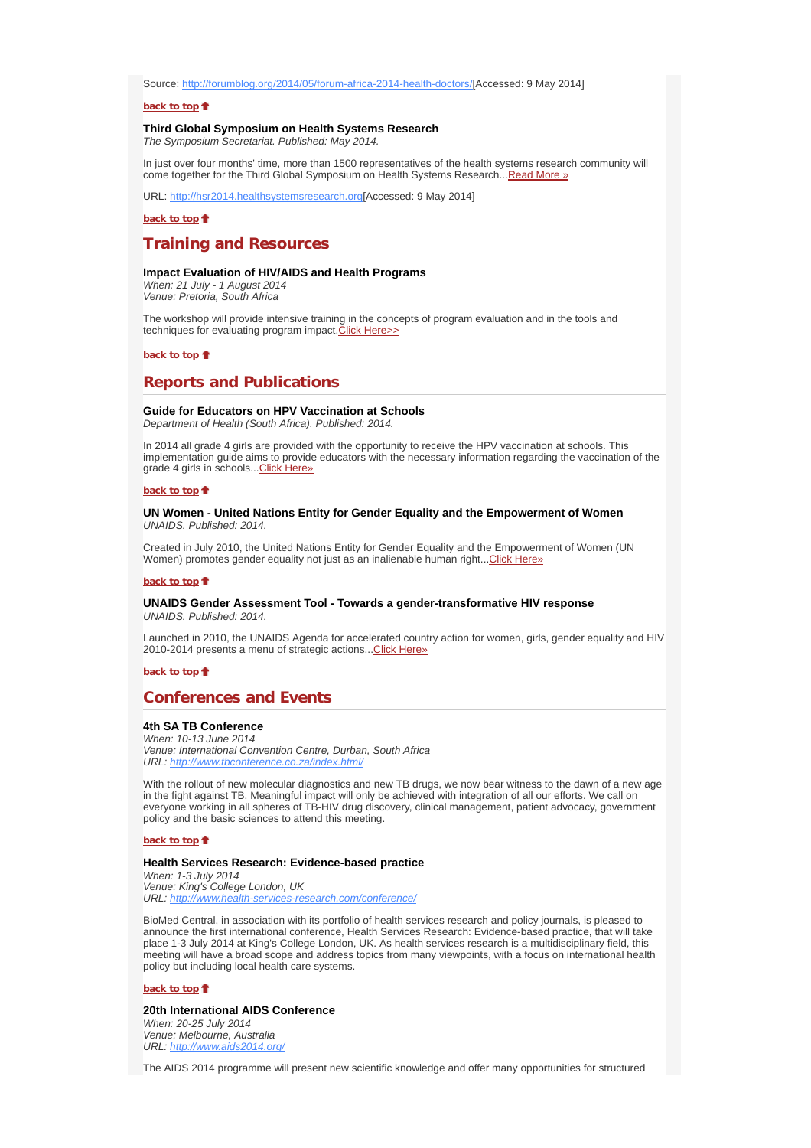Source: http://forumblog.org/2014/05/forum-africa-2014-health-doctors/[Accessed: 9 May 2014]

### **back to top**

### **Third Global Symposium on Health Systems Research**

*The Symposium Secretariat. Published: May 2014.*

In just over four months' time, more than 1500 representatives of the health systems research community will come together for the Third Global Symposium on Health Systems Research...Read More »

URL: http://hsr2014.healthsystemsresearch.org[Accessed: 9 May 2014]

**back to top**

# **Training and Resources**

### **Impact Evaluation of HIV/AIDS and Health Programs**

*When: 21 July - 1 August 2014 Venue: Pretoria, South Africa*

The workshop will provide intensive training in the concepts of program evaluation and in the tools and techniques for evaluating program impact. Click Here>>

### **back to top**

# **Reports and Publications**

## **Guide for Educators on HPV Vaccination at Schools**

*Department of Health (South Africa). Published: 2014.*

In 2014 all grade 4 girls are provided with the opportunity to receive the HPV vaccination at schools. This implementation guide aims to provide educators with the necessary information regarding the vaccination of the grade 4 girls in schools... Click Here»

#### **back to top**

## **UN Women - United Nations Entity for Gender Equality and the Empowerment of Women** *UNAIDS. Published: 2014.*

Created in July 2010, the United Nations Entity for Gender Equality and the Empowerment of Women (UN Women) promotes gender equality not just as an inalienable human right... Click Here»

#### **back to top**

# **UNAIDS Gender Assessment Tool - Towards a gender-transformative HIV response**

*UNAIDS. Published: 2014.*

Launched in 2010, the UNAIDS Agenda for accelerated country action for women, girls, gender equality and HIV 2010-2014 presents a menu of strategic actions...Click Here»

### **back to top**

# **Conferences and Events**

# **4th SA TB Conference**

*When: 10-13 June 2014 Venue: International Convention Centre, Durban, South Africa URL: http://www.tbconference.co.za/index.html/*

With the rollout of new molecular diagnostics and new TB drugs, we now bear witness to the dawn of a new age in the fight against TB. Meaningful impact will only be achieved with integration of all our efforts. We call on everyone working in all spheres of TB-HIV drug discovery, clinical management, patient advocacy, government policy and the basic sciences to attend this meeting.

#### **back to top**

# **Health Services Research: Evidence-based practice**

*When: 1-3 July 2014 Venue: King's College London, UK URL: http://www.health-services-research.com/conference/*

BioMed Central, in association with its portfolio of health services research and policy journals, is pleased to announce the first international conference, Health Services Research: Evidence-based practice, that will take place 1-3 July 2014 at King's College London, UK. As health services research is a multidisciplinary field, this meeting will have a broad scope and address topics from many viewpoints, with a focus on international health policy but including local health care systems.

#### **back to top**

### **20th International AIDS Conference**

*When: 20-25 July 2014 Venue: Melbourne, Australia URL: http://www.aids2014.org/*

The AIDS 2014 programme will present new scientific knowledge and offer many opportunities for structured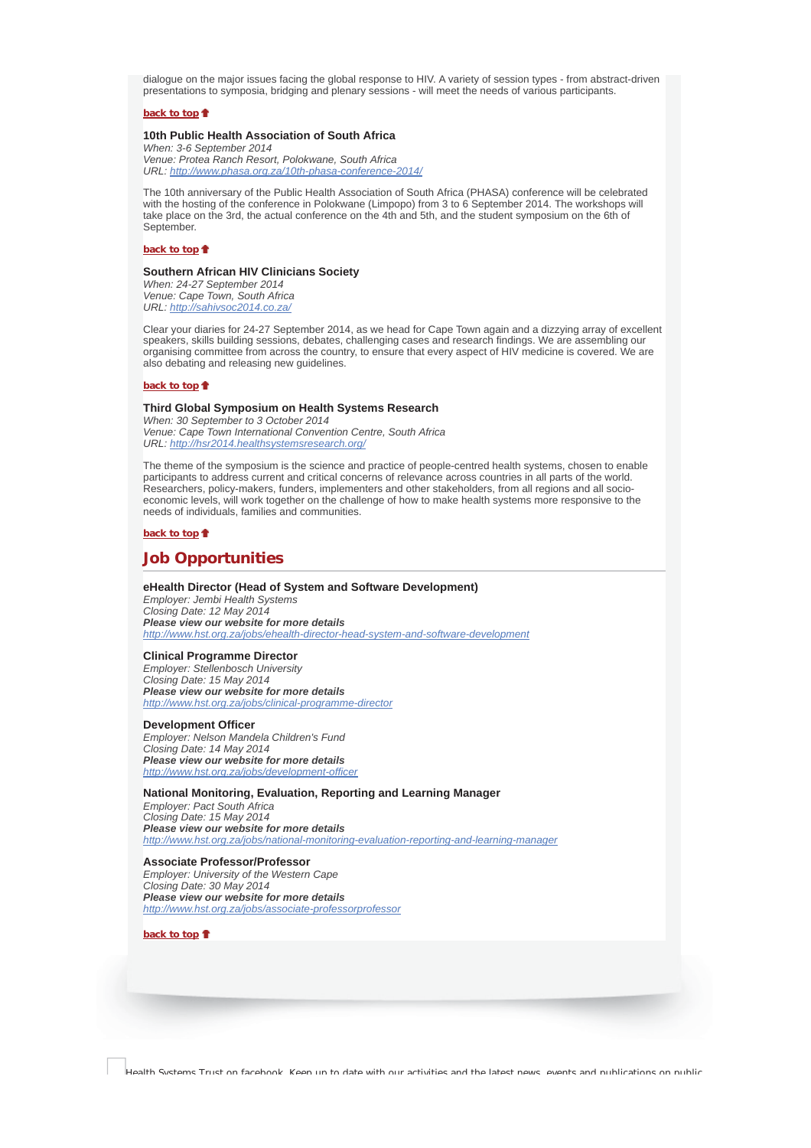dialogue on the major issues facing the global response to HIV. A variety of session types - from abstract-driven presentations to symposia, bridging and plenary sessions - will meet the needs of various participants.

# **back to top**

## **10th Public Health Association of South Africa**

*When: 3-6 September 2014 Venue: Protea Ranch Resort, Polokwane, South Africa URL: http://www.phasa.org.za/10th-phasa-conference-2014/*

The 10th anniversary of the Public Health Association of South Africa (PHASA) conference will be celebrated with the hosting of the conference in Polokwane (Limpopo) from 3 to 6 September 2014. The workshops will take place on the 3rd, the actual conference on the 4th and 5th, and the student symposium on the 6th of September.

## **back to top**<sup> $\bullet$ </sup>

# **Southern African HIV Clinicians Society**

*When: 24-27 September 2014 Venue: Cape Town, South Africa URL: http://sahivsoc2014.co.za/*

Clear your diaries for 24-27 September 2014, as we head for Cape Town again and a dizzying array of excellent speakers, skills building sessions, debates, challenging cases and research findings. We are assembling our organising committee from across the country, to ensure that every aspect of HIV medicine is covered. We are also debating and releasing new guidelines.

## **back to top**

## **Third Global Symposium on Health Systems Research**

*When: 30 September to 3 October 2014 Venue: Cape Town International Convention Centre, South Africa URL: http://hsr2014.healthsystemsresearch.org/*

The theme of the symposium is the science and practice of people-centred health systems, chosen to enable participants to address current and critical concerns of relevance across countries in all parts of the world. Researchers, policy-makers, funders, implementers and other stakeholders, from all regions and all socioeconomic levels, will work together on the challenge of how to make health systems more responsive to the needs of individuals, families and communities.

## **back to top**

# **Job Opportunities**

## **eHealth Director (Head of System and Software Development)**

*Employer: Jembi Health Systems Closing Date: 12 May 2014 Please view our website for more details http://www.hst.org.za/jobs/ehealth-director-head-system-and-software-development*

### **Clinical Programme Director**

*Employer: Stellenbosch University Closing Date: 15 May 2014 Please view our website for more details http://www.hst.org.za/jobs/clinical-programme-director*

### **Development Officer**

*Employer: Nelson Mandela Children's Fund Closing Date: 14 May 2014 Please view our website for more details http://www.hst.org.za/jobs/development-officer*

## **National Monitoring, Evaluation, Reporting and Learning Manager**

*Employer: Pact South Africa Closing Date: 15 May 2014 Please view our website for more details http://www.hst.org.za/jobs/national-monitoring-evaluation-reporting-and-learning-manager*

### **Associate Professor/Professor**

*Employer: University of the Western Cape Closing Date: 30 May 2014 Please view our website for more details http://www.hst.org.za/jobs/associate-professorprofessor*

**back to top**